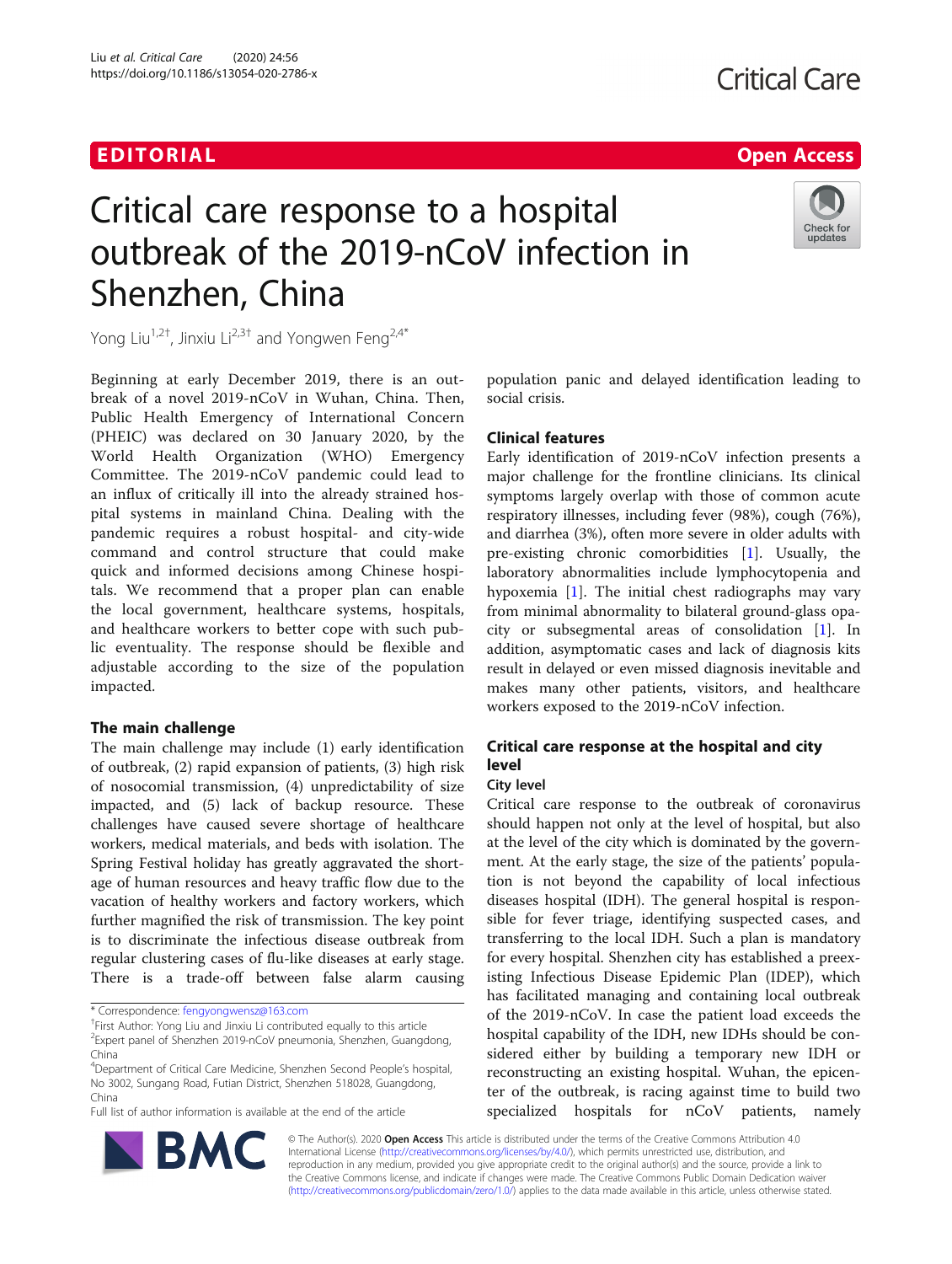# EDITORIAL AND INTERNATIONAL CONTRACT CONTRACT OF THE CONTRACT OF THE CONTRACT OF THE CONTRACT OF THE CONTRACT O

# Check for updates

# Critical care response to a hospital outbreak of the 2019-nCoV infection in Shenzhen, China

Yong Liu<sup>1,2†</sup>, Jinxiu Li<sup>2,3†</sup> and Yongwen Feng<sup>2,4\*</sup>

Beginning at early December 2019, there is an outbreak of a novel 2019-nCoV in Wuhan, China. Then, Public Health Emergency of International Concern (PHEIC) was declared on 30 January 2020, by the World Health Organization (WHO) Emergency Committee. The 2019-nCoV pandemic could lead to an influx of critically ill into the already strained hospital systems in mainland China. Dealing with the pandemic requires a robust hospital- and city-wide command and control structure that could make quick and informed decisions among Chinese hospitals. We recommend that a proper plan can enable the local government, healthcare systems, hospitals, and healthcare workers to better cope with such public eventuality. The response should be flexible and adjustable according to the size of the population impacted.

# The main challenge

The main challenge may include (1) early identification of outbreak, (2) rapid expansion of patients, (3) high risk of nosocomial transmission, (4) unpredictability of size impacted, and (5) lack of backup resource. These challenges have caused severe shortage of healthcare workers, medical materials, and beds with isolation. The Spring Festival holiday has greatly aggravated the shortage of human resources and heavy traffic flow due to the vacation of healthy workers and factory workers, which further magnified the risk of transmission. The key point is to discriminate the infectious disease outbreak from regular clustering cases of flu-like diseases at early stage. There is a trade-off between false alarm causing

Full list of author information is available at the end of the article



# Clinical features

Early identification of 2019-nCoV infection presents a major challenge for the frontline clinicians. Its clinical symptoms largely overlap with those of common acute respiratory illnesses, including fever (98%), cough (76%), and diarrhea (3%), often more severe in older adults with pre-existing chronic comorbidities [\[1\]](#page-1-0). Usually, the laboratory abnormalities include lymphocytopenia and hypoxemia [\[1\]](#page-1-0). The initial chest radiographs may vary from minimal abnormality to bilateral ground-glass opacity or subsegmental areas of consolidation [[1](#page-1-0)]. In addition, asymptomatic cases and lack of diagnosis kits result in delayed or even missed diagnosis inevitable and makes many other patients, visitors, and healthcare workers exposed to the 2019-nCoV infection.

# Critical care response at the hospital and city level

# City level

Critical care response to the outbreak of coronavirus should happen not only at the level of hospital, but also at the level of the city which is dominated by the government. At the early stage, the size of the patients' population is not beyond the capability of local infectious diseases hospital (IDH). The general hospital is responsible for fever triage, identifying suspected cases, and transferring to the local IDH. Such a plan is mandatory for every hospital. Shenzhen city has established a preexisting Infectious Disease Epidemic Plan (IDEP), which has facilitated managing and containing local outbreak of the 2019-nCoV. In case the patient load exceeds the hospital capability of the IDH, new IDHs should be considered either by building a temporary new IDH or reconstructing an existing hospital. Wuhan, the epicenter of the outbreak, is racing against time to build two specialized hospitals for nCoV patients, namely



© The Author(s). 2020 Open Access This article is distributed under the terms of the Creative Commons Attribution 4.0 International License [\(http://creativecommons.org/licenses/by/4.0/](http://creativecommons.org/licenses/by/4.0/)), which permits unrestricted use, distribution, and reproduction in any medium, provided you give appropriate credit to the original author(s) and the source, provide a link to the Creative Commons license, and indicate if changes were made. The Creative Commons Public Domain Dedication waiver [\(http://creativecommons.org/publicdomain/zero/1.0/](http://creativecommons.org/publicdomain/zero/1.0/)) applies to the data made available in this article, unless otherwise stated.

<sup>\*</sup> Correspondence: [fengyongwensz@163.com](mailto:fengyongwensz@163.com) †

<sup>&</sup>lt;sup>+</sup>First Author: Yong Liu and Jinxiu Li contributed equally to this article 2 Expert panel of Shenzhen 2019-nCoV pneumonia, Shenzhen, Guangdong, China

<sup>4</sup> Department of Critical Care Medicine, Shenzhen Second People's hospital, No 3002, Sungang Road, Futian District, Shenzhen 518028, Guangdong, China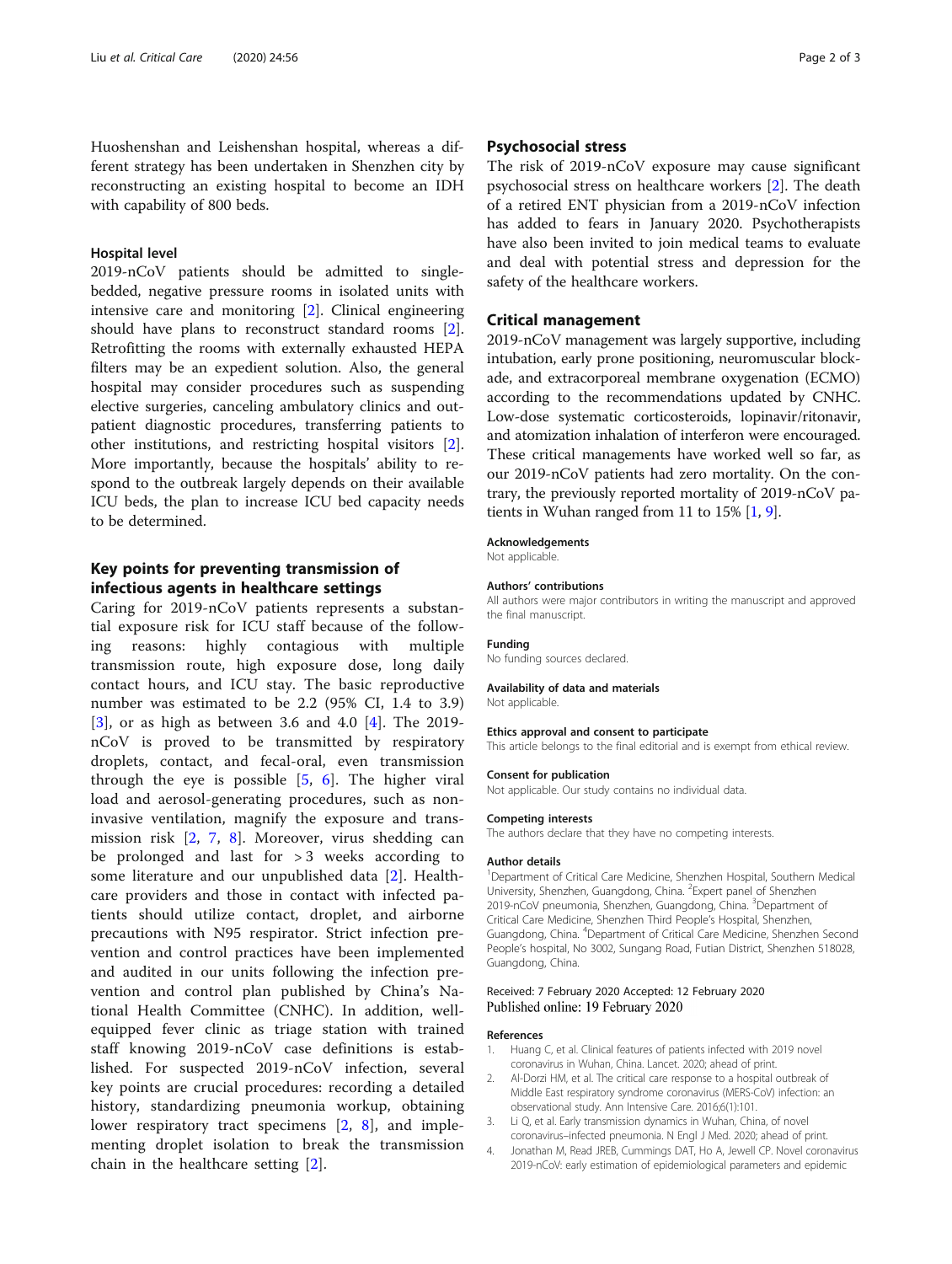<span id="page-1-0"></span>Huoshenshan and Leishenshan hospital, whereas a different strategy has been undertaken in Shenzhen city by reconstructing an existing hospital to become an IDH with capability of 800 beds.

## Hospital level

2019-nCoV patients should be admitted to singlebedded, negative pressure rooms in isolated units with intensive care and monitoring [2]. Clinical engineering should have plans to reconstruct standard rooms [2]. Retrofitting the rooms with externally exhausted HEPA filters may be an expedient solution. Also, the general hospital may consider procedures such as suspending elective surgeries, canceling ambulatory clinics and outpatient diagnostic procedures, transferring patients to other institutions, and restricting hospital visitors [2]. More importantly, because the hospitals' ability to respond to the outbreak largely depends on their available ICU beds, the plan to increase ICU bed capacity needs to be determined.

# Key points for preventing transmission of infectious agents in healthcare settings

Caring for 2019-nCoV patients represents a substantial exposure risk for ICU staff because of the following reasons: highly contagious with multiple transmission route, high exposure dose, long daily contact hours, and ICU stay. The basic reproductive number was estimated to be 2.2 (95% CI, 1.4 to 3.9) [3], or as high as between 3.6 and 4.0 [4]. The 2019 nCoV is proved to be transmitted by respiratory droplets, contact, and fecal-oral, even transmission through the eye is possible  $[5, 6]$  $[5, 6]$  $[5, 6]$  $[5, 6]$ . The higher viral load and aerosol-generating procedures, such as noninvasive ventilation, magnify the exposure and transmission risk [2, [7,](#page-2-0) [8](#page-2-0)]. Moreover, virus shedding can be prolonged and last for  $> 3$  weeks according to some literature and our unpublished data [2]. Healthcare providers and those in contact with infected patients should utilize contact, droplet, and airborne precautions with N95 respirator. Strict infection prevention and control practices have been implemented and audited in our units following the infection prevention and control plan published by China's National Health Committee (CNHC). In addition, wellequipped fever clinic as triage station with trained staff knowing 2019-nCoV case definitions is established. For suspected 2019-nCoV infection, several key points are crucial procedures: recording a detailed history, standardizing pneumonia workup, obtaining lower respiratory tract specimens [2, [8](#page-2-0)], and implementing droplet isolation to break the transmission chain in the healthcare setting [2].

### Psychosocial stress

The risk of 2019-nCoV exposure may cause significant psychosocial stress on healthcare workers [2]. The death of a retired ENT physician from a 2019-nCoV infection has added to fears in January 2020. Psychotherapists have also been invited to join medical teams to evaluate and deal with potential stress and depression for the safety of the healthcare workers.

### Critical management

2019-nCoV management was largely supportive, including intubation, early prone positioning, neuromuscular blockade, and extracorporeal membrane oxygenation (ECMO) according to the recommendations updated by CNHC. Low-dose systematic corticosteroids, lopinavir/ritonavir, and atomization inhalation of interferon were encouraged. These critical managements have worked well so far, as our 2019-nCoV patients had zero mortality. On the contrary, the previously reported mortality of 2019-nCoV patients in Wuhan ranged from 11 to 15% [1, [9\]](#page-2-0).

#### Acknowledgements

Not applicable.

#### Authors' contributions

All authors were major contributors in writing the manuscript and approved the final manuscript.

#### Funding

No funding sources declared.

#### Availability of data and materials

Not applicable.

#### Ethics approval and consent to participate

This article belongs to the final editorial and is exempt from ethical review.

#### Consent for publication

Not applicable. Our study contains no individual data.

#### Competing interests

The authors declare that they have no competing interests.

#### Author details

<sup>1</sup>Department of Critical Care Medicine, Shenzhen Hospital, Southern Medical University, Shenzhen, Guangdong, China. <sup>2</sup> Expert panel of Shenzhen 2019-nCoV pneumonia, Shenzhen, Guangdong, China. <sup>3</sup>Department of Critical Care Medicine, Shenzhen Third People's Hospital, Shenzhen, Guangdong, China. <sup>4</sup> Department of Critical Care Medicine, Shenzhen Second People's hospital, No 3002, Sungang Road, Futian District, Shenzhen 518028, Guangdong, China.

#### Received: 7 February 2020 Accepted: 12 February 2020 Published online: 19 February 2020

#### References

- 1. Huang C, et al. Clinical features of patients infected with 2019 novel coronavirus in Wuhan, China. Lancet. 2020; ahead of print.
- 2. Al-Dorzi HM, et al. The critical care response to a hospital outbreak of Middle East respiratory syndrome coronavirus (MERS-CoV) infection: an observational study. Ann Intensive Care. 2016;6(1):101.
- 3. Li Q, et al. Early transmission dynamics in Wuhan, China, of novel coronavirus–infected pneumonia. N Engl J Med. 2020; ahead of print.
- 4. Jonathan M, Read JREB, Cummings DAT, Ho A, Jewell CP. Novel coronavirus 2019-nCoV: early estimation of epidemiological parameters and epidemic